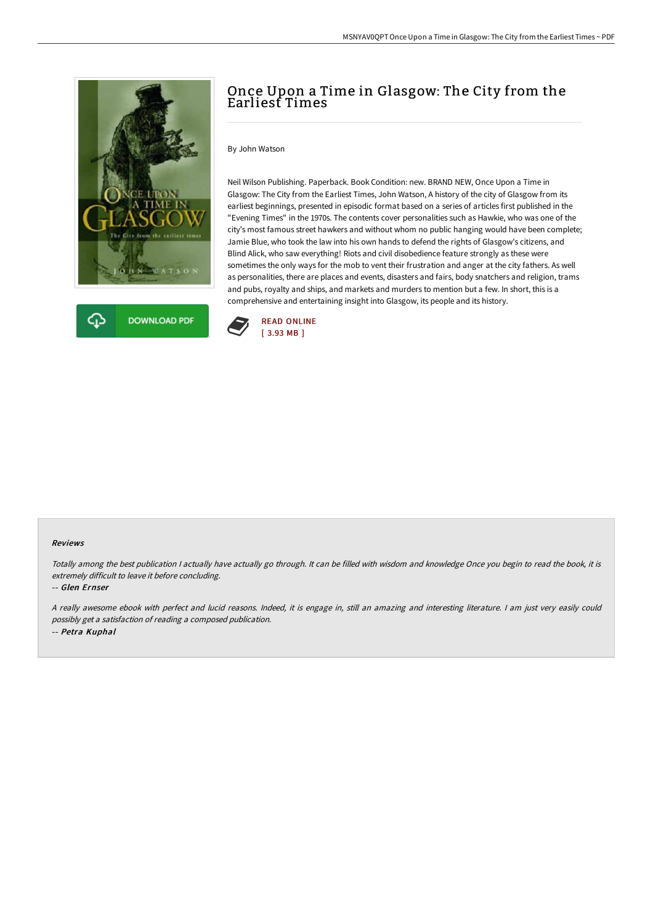



# Once Upon a Time in Glasgow: The City from the Earliest Times

By John Watson

Neil Wilson Publishing. Paperback. Book Condition: new. BRAND NEW, Once Upon a Time in Glasgow: The City from the Earliest Times, John Watson, A history of the city of Glasgow from its earliest beginnings, presented in episodic format based on a series of articles first published in the "Evening Times" in the 1970s. The contents cover personalities such as Hawkie, who was one of the city's most famous street hawkers and without whom no public hanging would have been complete; Jamie Blue, who took the law into his own hands to defend the rights of Glasgow's citizens, and Blind Alick, who saw everything! Riots and civil disobedience feature strongly as these were sometimes the only ways for the mob to vent their frustration and anger at the city fathers. As well as personalities, there are places and events, disasters and fairs, body snatchers and religion, trams and pubs, royalty and ships, and markets and murders to mention but a few. In short, this is a comprehensive and entertaining insight into Glasgow, its people and its history.



#### Reviews

Totally among the best publication <sup>I</sup> actually have actually go through. It can be filled with wisdom and knowledge Once you begin to read the book, it is extremely difficult to leave it before concluding.

-- Glen Ernser

<sup>A</sup> really awesome ebook with perfect and lucid reasons. Indeed, it is engage in, still an amazing and interesting literature. <sup>I</sup> am just very easily could possibly get <sup>a</sup> satisfaction of reading <sup>a</sup> composed publication. -- Petra Kuphal